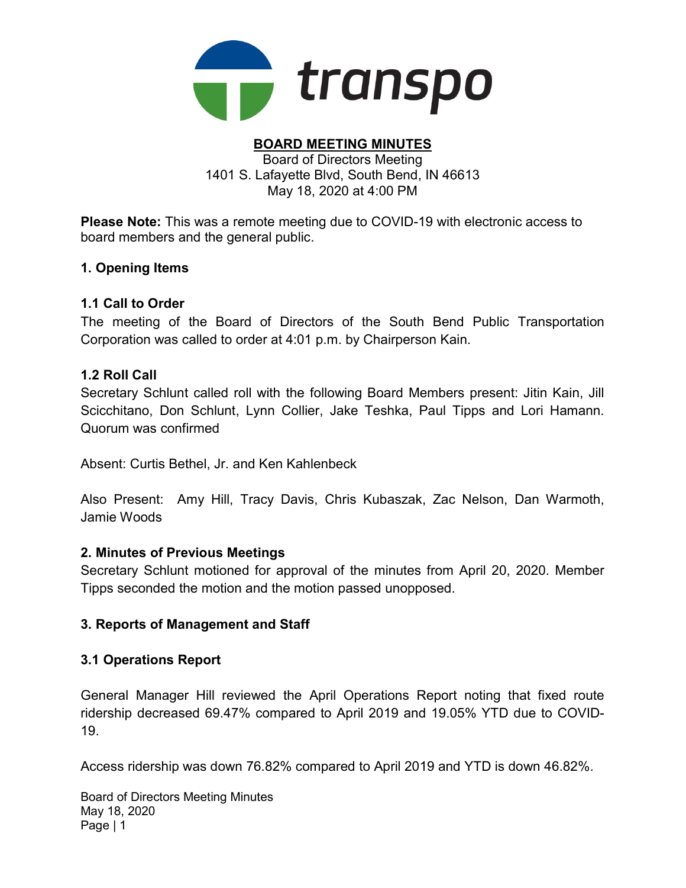

#### BOARD MEETING MINUTES Board of Directors Meeting 1401 S. Lafayette Blvd, South Bend, IN 46613 May 18, 2020 at 4:00 PM

Please Note: This was a remote meeting due to COVID-19 with electronic access to board members and the general public.

# 1. Opening Items

### 1.1 Call to Order

The meeting of the Board of Directors of the South Bend Public Transportation Corporation was called to order at 4:01 p.m. by Chairperson Kain.

### 1.2 Roll Call

Secretary Schlunt called roll with the following Board Members present: Jitin Kain, Jill Scicchitano, Don Schlunt, Lynn Collier, Jake Teshka, Paul Tipps and Lori Hamann. Quorum was confirmed

Absent: Curtis Bethel, Jr. and Ken Kahlenbeck

Also Present: Amy Hill, Tracy Davis, Chris Kubaszak, Zac Nelson, Dan Warmoth, Jamie Woods

#### 2. Minutes of Previous Meetings

Secretary Schlunt motioned for approval of the minutes from April 20, 2020. Member Tipps seconded the motion and the motion passed unopposed.

# 3. Reports of Management and Staff

# 3.1 Operations Report

General Manager Hill reviewed the April Operations Report noting that fixed route ridership decreased 69.47% compared to April 2019 and 19.05% YTD due to COVID-19.

Access ridership was down 76.82% compared to April 2019 and YTD is down 46.82%.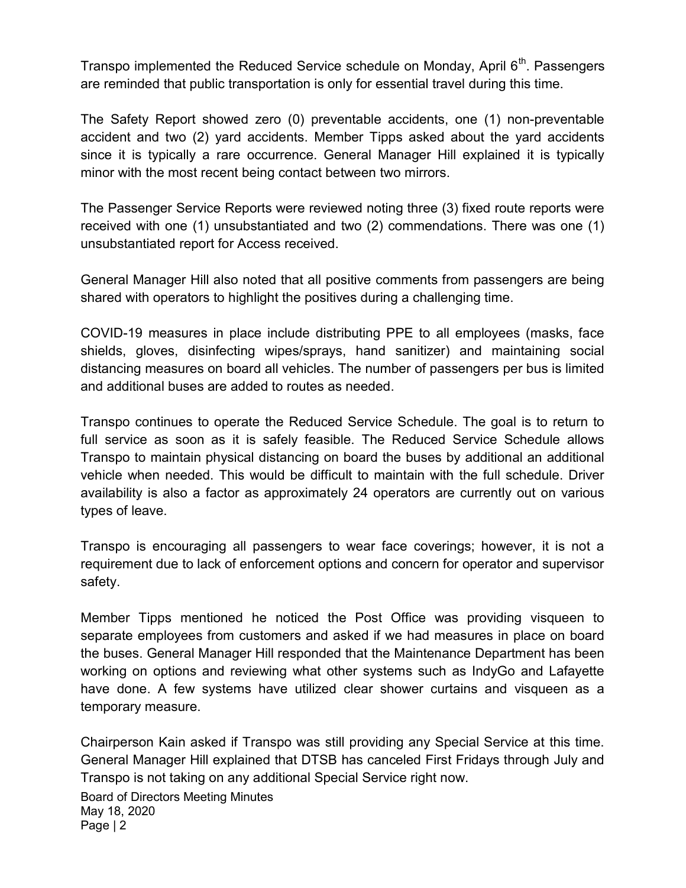Transpo implemented the Reduced Service schedule on Monday, April  $6<sup>th</sup>$ . Passengers are reminded that public transportation is only for essential travel during this time.

The Safety Report showed zero (0) preventable accidents, one (1) non-preventable accident and two (2) yard accidents. Member Tipps asked about the yard accidents since it is typically a rare occurrence. General Manager Hill explained it is typically minor with the most recent being contact between two mirrors.

The Passenger Service Reports were reviewed noting three (3) fixed route reports were received with one (1) unsubstantiated and two (2) commendations. There was one (1) unsubstantiated report for Access received.

General Manager Hill also noted that all positive comments from passengers are being shared with operators to highlight the positives during a challenging time.

COVID-19 measures in place include distributing PPE to all employees (masks, face shields, gloves, disinfecting wipes/sprays, hand sanitizer) and maintaining social distancing measures on board all vehicles. The number of passengers per bus is limited and additional buses are added to routes as needed.

Transpo continues to operate the Reduced Service Schedule. The goal is to return to full service as soon as it is safely feasible. The Reduced Service Schedule allows Transpo to maintain physical distancing on board the buses by additional an additional vehicle when needed. This would be difficult to maintain with the full schedule. Driver availability is also a factor as approximately 24 operators are currently out on various types of leave.

Transpo is encouraging all passengers to wear face coverings; however, it is not a requirement due to lack of enforcement options and concern for operator and supervisor safety.

Member Tipps mentioned he noticed the Post Office was providing visqueen to separate employees from customers and asked if we had measures in place on board the buses. General Manager Hill responded that the Maintenance Department has been working on options and reviewing what other systems such as IndyGo and Lafayette have done. A few systems have utilized clear shower curtains and visqueen as a temporary measure.

Chairperson Kain asked if Transpo was still providing any Special Service at this time. General Manager Hill explained that DTSB has canceled First Fridays through July and Transpo is not taking on any additional Special Service right now.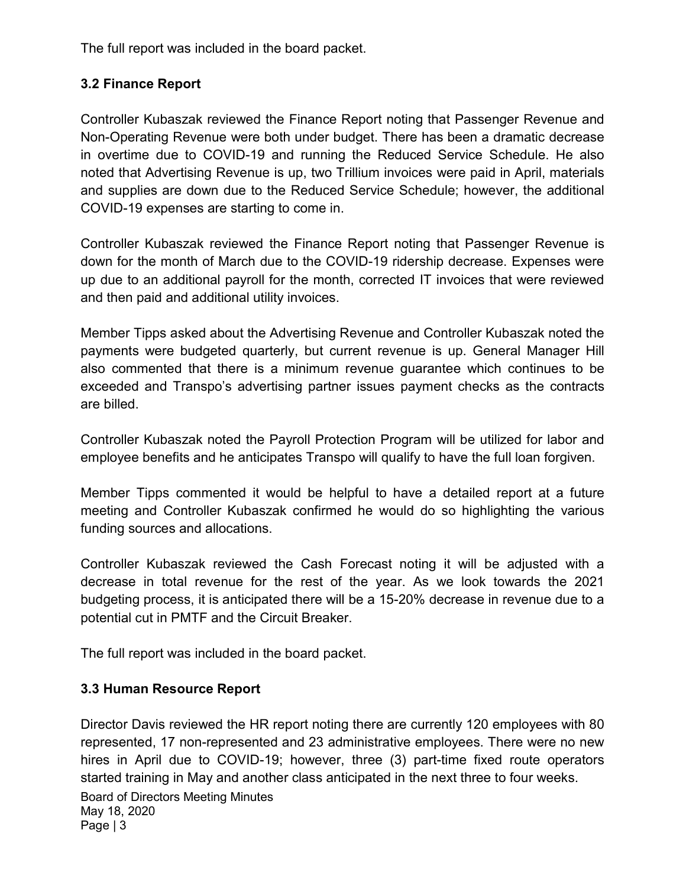The full report was included in the board packet.

# 3.2 Finance Report

Controller Kubaszak reviewed the Finance Report noting that Passenger Revenue and Non-Operating Revenue were both under budget. There has been a dramatic decrease in overtime due to COVID-19 and running the Reduced Service Schedule. He also noted that Advertising Revenue is up, two Trillium invoices were paid in April, materials and supplies are down due to the Reduced Service Schedule; however, the additional COVID-19 expenses are starting to come in.

Controller Kubaszak reviewed the Finance Report noting that Passenger Revenue is down for the month of March due to the COVID-19 ridership decrease. Expenses were up due to an additional payroll for the month, corrected IT invoices that were reviewed and then paid and additional utility invoices.

Member Tipps asked about the Advertising Revenue and Controller Kubaszak noted the payments were budgeted quarterly, but current revenue is up. General Manager Hill also commented that there is a minimum revenue guarantee which continues to be exceeded and Transpo's advertising partner issues payment checks as the contracts are billed.

Controller Kubaszak noted the Payroll Protection Program will be utilized for labor and employee benefits and he anticipates Transpo will qualify to have the full loan forgiven.

Member Tipps commented it would be helpful to have a detailed report at a future meeting and Controller Kubaszak confirmed he would do so highlighting the various funding sources and allocations.

Controller Kubaszak reviewed the Cash Forecast noting it will be adjusted with a decrease in total revenue for the rest of the year. As we look towards the 2021 budgeting process, it is anticipated there will be a 15-20% decrease in revenue due to a potential cut in PMTF and the Circuit Breaker.

The full report was included in the board packet.

# 3.3 Human Resource Report

Director Davis reviewed the HR report noting there are currently 120 employees with 80 represented, 17 non-represented and 23 administrative employees. There were no new hires in April due to COVID-19; however, three (3) part-time fixed route operators started training in May and another class anticipated in the next three to four weeks.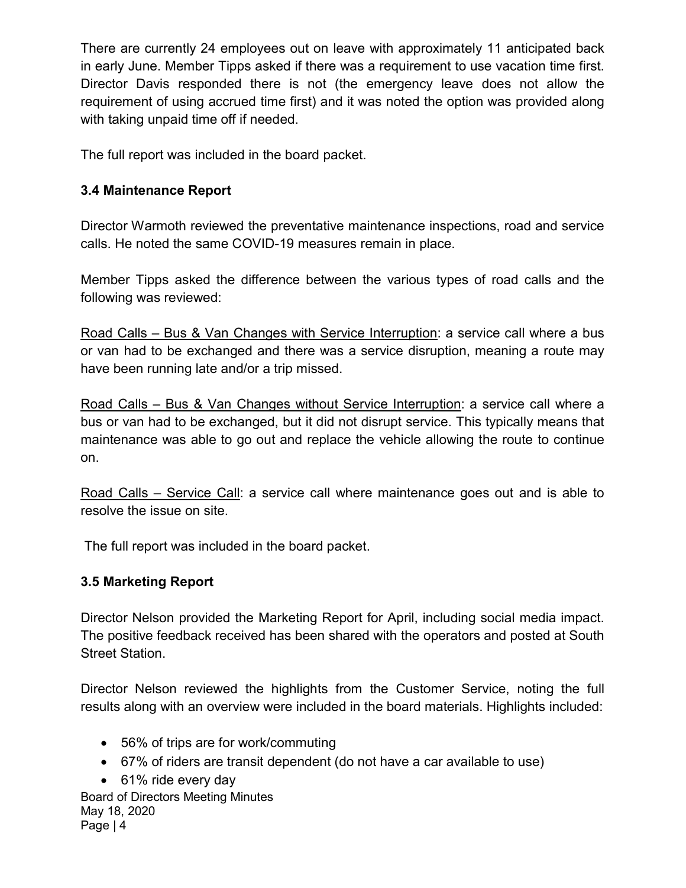There are currently 24 employees out on leave with approximately 11 anticipated back in early June. Member Tipps asked if there was a requirement to use vacation time first. Director Davis responded there is not (the emergency leave does not allow the requirement of using accrued time first) and it was noted the option was provided along with taking unpaid time off if needed.

The full report was included in the board packet.

# 3.4 Maintenance Report

Director Warmoth reviewed the preventative maintenance inspections, road and service calls. He noted the same COVID-19 measures remain in place.

Member Tipps asked the difference between the various types of road calls and the following was reviewed:

Road Calls – Bus & Van Changes with Service Interruption: a service call where a bus or van had to be exchanged and there was a service disruption, meaning a route may have been running late and/or a trip missed.

Road Calls – Bus & Van Changes without Service Interruption: a service call where a bus or van had to be exchanged, but it did not disrupt service. This typically means that maintenance was able to go out and replace the vehicle allowing the route to continue on.

Road Calls – Service Call: a service call where maintenance goes out and is able to resolve the issue on site.

The full report was included in the board packet.

# 3.5 Marketing Report

Director Nelson provided the Marketing Report for April, including social media impact. The positive feedback received has been shared with the operators and posted at South Street Station.

Director Nelson reviewed the highlights from the Customer Service, noting the full results along with an overview were included in the board materials. Highlights included:

- 56% of trips are for work/commuting
- 67% of riders are transit dependent (do not have a car available to use)
- 61% ride every day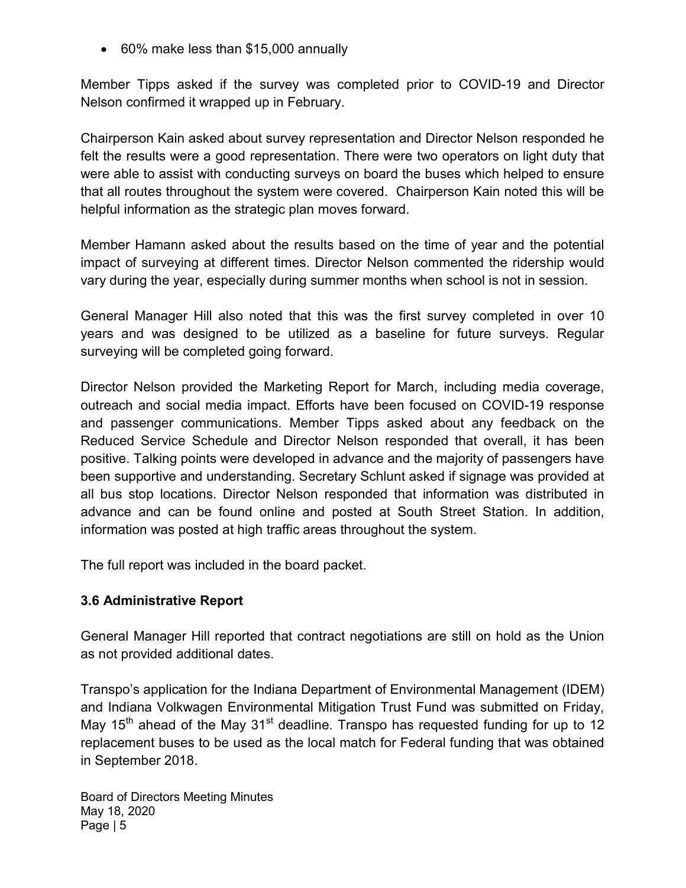60% make less than \$15,000 annually

Member Tipps asked if the survey was completed prior to COVID-19 and Director Nelson confirmed it wrapped up in February.

Chairperson Kain asked about survey representation and Director Nelson responded he felt the results were a good representation. There were two operators on light duty that were able to assist with conducting surveys on board the buses which helped to ensure that all routes throughout the system were covered. Chairperson Kain noted this will be helpful information as the strategic plan moves forward.

Member Hamann asked about the results based on the time of year and the potential impact of surveying at different times. Director Nelson commented the ridership would vary during the year, especially during summer months when school is not in session.

General Manager Hill also noted that this was the first survey completed in over 10 years and was designed to be utilized as a baseline for future surveys. Regular surveying will be completed going forward.

Director Nelson provided the Marketing Report for March, including media coverage, outreach and social media impact. Efforts have been focused on COVID-19 response and passenger communications. Member Tipps asked about any feedback on the Reduced Service Schedule and Director Nelson responded that overall, it has been positive. Talking points were developed in advance and the majority of passengers have been supportive and understanding. Secretary Schlunt asked if signage was provided at all bus stop locations. Director Nelson responded that information was distributed in advance and can be found online and posted at South Street Station. In addition, information was posted at high traffic areas throughout the system.

The full report was included in the board packet.

# 3.6 Administrative Report

General Manager Hill reported that contract negotiations are still on hold as the Union as not provided additional dates.

Transpo's application for the Indiana Department of Environmental Management (IDEM) and Indiana Volkwagen Environmental Mitigation Trust Fund was submitted on Friday, May 15<sup>th</sup> ahead of the May 31<sup>st</sup> deadline. Transpo has requested funding for up to 12 replacement buses to be used as the local match for Federal funding that was obtained in September 2018.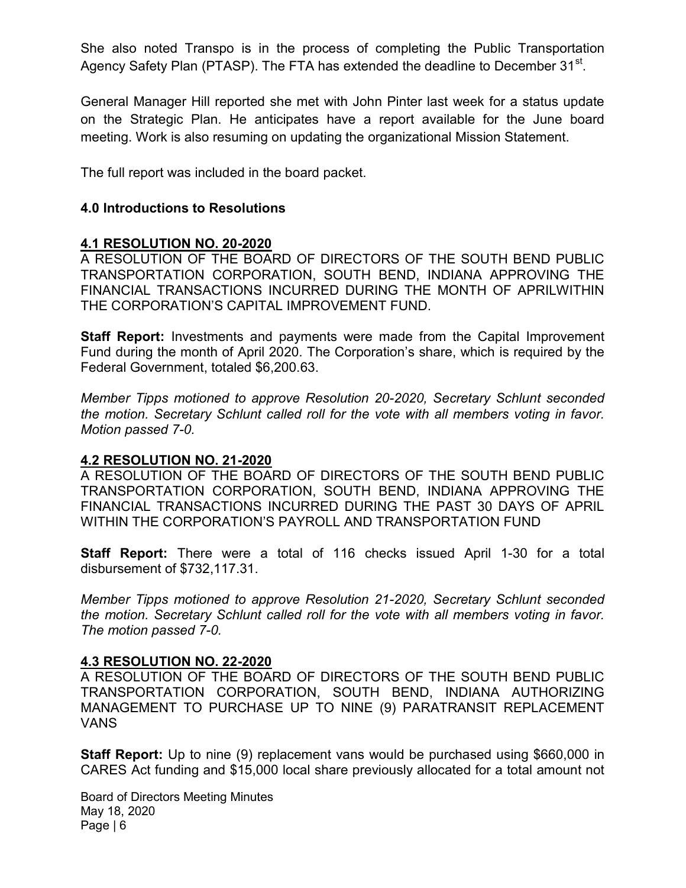She also noted Transpo is in the process of completing the Public Transportation Agency Safety Plan (PTASP). The FTA has extended the deadline to December 31 $^{\rm st}$ .

General Manager Hill reported she met with John Pinter last week for a status update on the Strategic Plan. He anticipates have a report available for the June board meeting. Work is also resuming on updating the organizational Mission Statement.

The full report was included in the board packet.

### 4.0 Introductions to Resolutions

#### 4.1 RESOLUTION NO. 20-2020

A RESOLUTION OF THE BOARD OF DIRECTORS OF THE SOUTH BEND PUBLIC TRANSPORTATION CORPORATION, SOUTH BEND, INDIANA APPROVING THE FINANCIAL TRANSACTIONS INCURRED DURING THE MONTH OF APRILWITHIN THE CORPORATION'S CAPITAL IMPROVEMENT FUND.

**Staff Report:** Investments and payments were made from the Capital Improvement Fund during the month of April 2020. The Corporation's share, which is required by the Federal Government, totaled \$6,200.63.

Member Tipps motioned to approve Resolution 20-2020, Secretary Schlunt seconded the motion. Secretary Schlunt called roll for the vote with all members voting in favor. Motion passed 7-0.

#### 4.2 RESOLUTION NO. 21-2020

A RESOLUTION OF THE BOARD OF DIRECTORS OF THE SOUTH BEND PUBLIC TRANSPORTATION CORPORATION, SOUTH BEND, INDIANA APPROVING THE FINANCIAL TRANSACTIONS INCURRED DURING THE PAST 30 DAYS OF APRIL WITHIN THE CORPORATION'S PAYROLL AND TRANSPORTATION FUND

Staff Report: There were a total of 116 checks issued April 1-30 for a total disbursement of \$732,117.31.

Member Tipps motioned to approve Resolution 21-2020, Secretary Schlunt seconded the motion. Secretary Schlunt called roll for the vote with all members voting in favor. The motion passed 7-0.

#### 4.3 RESOLUTION NO. 22-2020

A RESOLUTION OF THE BOARD OF DIRECTORS OF THE SOUTH BEND PUBLIC TRANSPORTATION CORPORATION, SOUTH BEND, INDIANA AUTHORIZING MANAGEMENT TO PURCHASE UP TO NINE (9) PARATRANSIT REPLACEMENT VANS

Staff Report: Up to nine (9) replacement vans would be purchased using \$660,000 in CARES Act funding and \$15,000 local share previously allocated for a total amount not